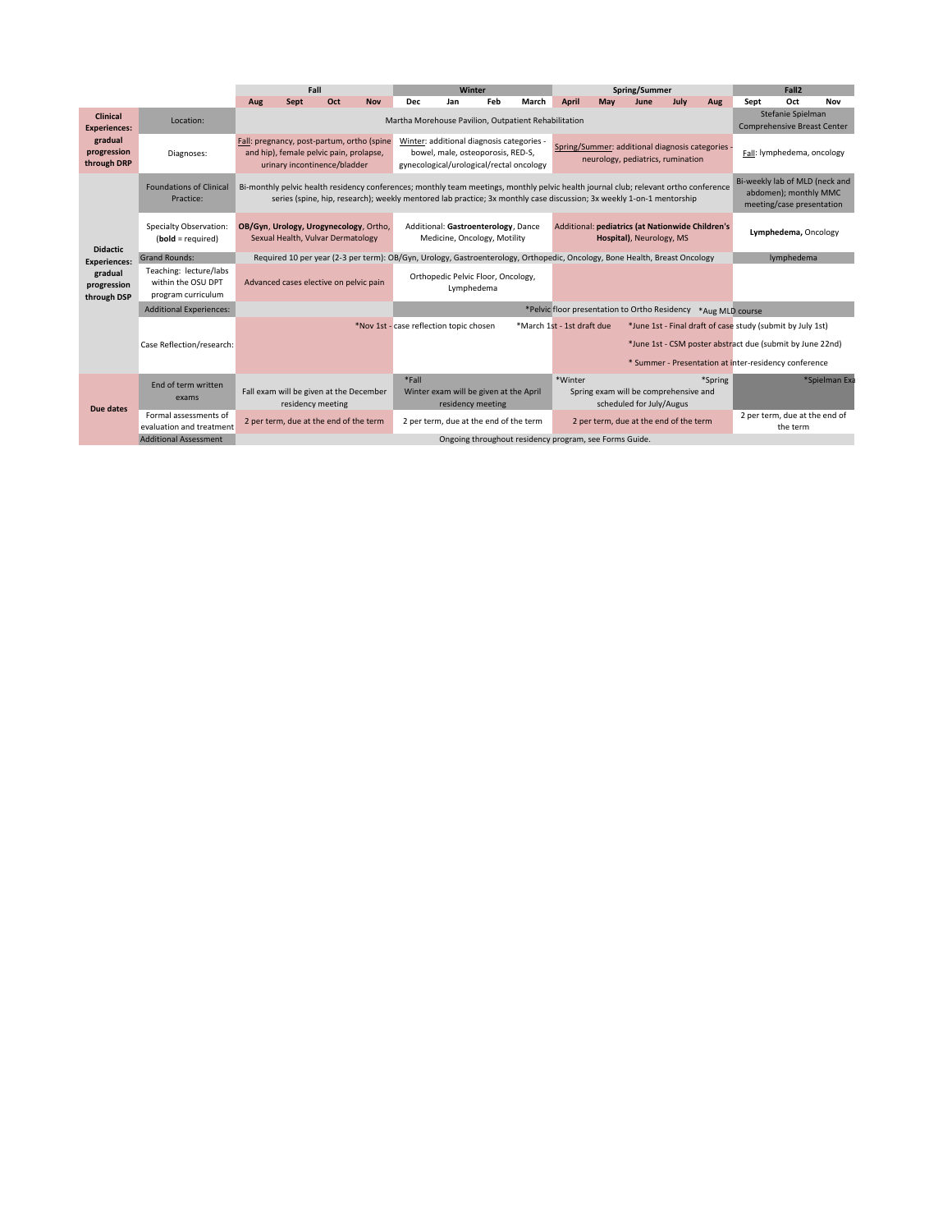|                                                                                 |                                                                    | Fall                                                                                                                  |      |     |                                                  | Winter                                                                                                                     |                                         |     |                                                        | Spring/Summer                                                                                                                        |     |      |      |                                                         | Fall <sub>2</sub>                                                                    |                                                            |               |
|---------------------------------------------------------------------------------|--------------------------------------------------------------------|-----------------------------------------------------------------------------------------------------------------------|------|-----|--------------------------------------------------|----------------------------------------------------------------------------------------------------------------------------|-----------------------------------------|-----|--------------------------------------------------------|--------------------------------------------------------------------------------------------------------------------------------------|-----|------|------|---------------------------------------------------------|--------------------------------------------------------------------------------------|------------------------------------------------------------|---------------|
|                                                                                 |                                                                    | Aug                                                                                                                   | Sept | Oct | <b>Nov</b>                                       | <b>Dec</b>                                                                                                                 | Jan                                     | Feb | March                                                  | April                                                                                                                                | May | June | July | Aug                                                     | Sept                                                                                 | Oct                                                        | Nov           |
| Clinical<br><b>Experiences:</b>                                                 | Location:                                                          |                                                                                                                       |      |     |                                                  | Martha Morehouse Pavilion, Outpatient Rehabilitation                                                                       |                                         |     |                                                        |                                                                                                                                      |     |      |      | Stefanie Spielman<br><b>Comprehensive Breast Center</b> |                                                                                      |                                                            |               |
| gradual<br>progression<br>through DRP                                           | Diagnoses:                                                         | Fall: pregnancy, post-partum, ortho (spine<br>and hip), female pelvic pain, prolapse,<br>urinary incontinence/bladder |      |     |                                                  | Winter: additional diagnosis categories -<br>bowel, male, osteoporosis, RED-S,<br>gynecological/urological/rectal oncology |                                         |     |                                                        | Spring/Summer: additional diagnosis categories<br>neurology, pediatrics, rumination                                                  |     |      |      |                                                         | Fall: lymphedema, oncology                                                           |                                                            |               |
| <b>Didactic</b><br><b>Experiences:</b><br>gradual<br>progression<br>through DSP | <b>Foundations of Clinical</b><br>Practice:                        |                                                                                                                       |      |     |                                                  | series (spine, hip, research); weekly mentored lab practice; 3x monthly case discussion; 3x weekly 1-on-1 mentorship       |                                         |     |                                                        | Bi-monthly pelvic health residency conferences; monthly team meetings, monthly pelvic health journal club; relevant ortho conference |     |      |      |                                                         | Bi-weekly lab of MLD (neck and<br>abdomen); monthly MMC<br>meeting/case presentation |                                                            |               |
|                                                                                 | Specialty Observation:<br>$bold = required$                        | OB/Gyn, Urology, Urogynecology, Ortho,<br>Sexual Health, Vulvar Dermatology                                           |      |     |                                                  | Additional: Gastroenterology, Dance<br>Medicine, Oncology, Motility                                                        |                                         |     |                                                        | Additional: pediatrics (at Nationwide Children's<br>Hospital), Neurology, MS                                                         |     |      |      |                                                         | Lymphedema, Oncology                                                                 |                                                            |               |
|                                                                                 | <b>Grand Rounds:</b>                                               |                                                                                                                       |      |     |                                                  |                                                                                                                            |                                         |     |                                                        | Required 10 per year (2-3 per term): OB/Gyn, Urology, Gastroenterology, Orthopedic, Oncology, Bone Health, Breast Oncology           |     |      |      |                                                         | lymphedema                                                                           |                                                            |               |
|                                                                                 | Teaching: lecture/labs<br>within the OSU DPT<br>program curriculum | Advanced cases elective on pelvic pain                                                                                |      |     | Orthopedic Pelvic Floor, Oncology,<br>Lymphedema |                                                                                                                            |                                         |     |                                                        |                                                                                                                                      |     |      |      |                                                         |                                                                                      |                                                            |               |
|                                                                                 | <b>Additional Experiences:</b>                                     |                                                                                                                       |      |     |                                                  |                                                                                                                            |                                         |     |                                                        | *Pelvic floor presentation to Ortho Residency *Aug MLD course                                                                        |     |      |      |                                                         |                                                                                      |                                                            |               |
|                                                                                 |                                                                    |                                                                                                                       |      |     |                                                  |                                                                                                                            | *Nov 1st - case reflection topic chosen |     |                                                        | *March 1st - 1st draft due                                                                                                           |     |      |      |                                                         |                                                                                      | *June 1st - Final draft of case study (submit by July 1st) |               |
|                                                                                 | Case Reflection/research:                                          |                                                                                                                       |      |     |                                                  |                                                                                                                            |                                         |     |                                                        |                                                                                                                                      |     |      |      |                                                         |                                                                                      | *June 1st - CSM poster abstract due (submit by June 22nd)  |               |
|                                                                                 |                                                                    |                                                                                                                       |      |     |                                                  |                                                                                                                            |                                         |     |                                                        |                                                                                                                                      |     |      |      |                                                         |                                                                                      | * Summer - Presentation at inter-residency conference      |               |
| Due dates                                                                       | End of term written<br>exams                                       | Fall exam will be given at the December<br>residency meeting                                                          |      |     |                                                  | *Fall<br>Winter exam will be given at the April<br>residency meeting                                                       |                                         |     |                                                        | *Winter<br>*Spring<br>Spring exam will be comprehensive and<br>scheduled for July/Augus                                              |     |      |      |                                                         |                                                                                      |                                                            | *Spielman Exa |
|                                                                                 | Formal assessments of<br>evaluation and treatment                  | 2 per term, due at the end of the term                                                                                |      |     |                                                  | 2 per term, due at the end of the term                                                                                     |                                         |     |                                                        | 2 per term, due at the end of the term                                                                                               |     |      |      |                                                         | 2 per term, due at the end of<br>the term                                            |                                                            |               |
|                                                                                 | <b>Additional Assessment</b>                                       |                                                                                                                       |      |     |                                                  |                                                                                                                            |                                         |     | Ongoing throughout residency program, see Forms Guide. |                                                                                                                                      |     |      |      |                                                         |                                                                                      |                                                            |               |